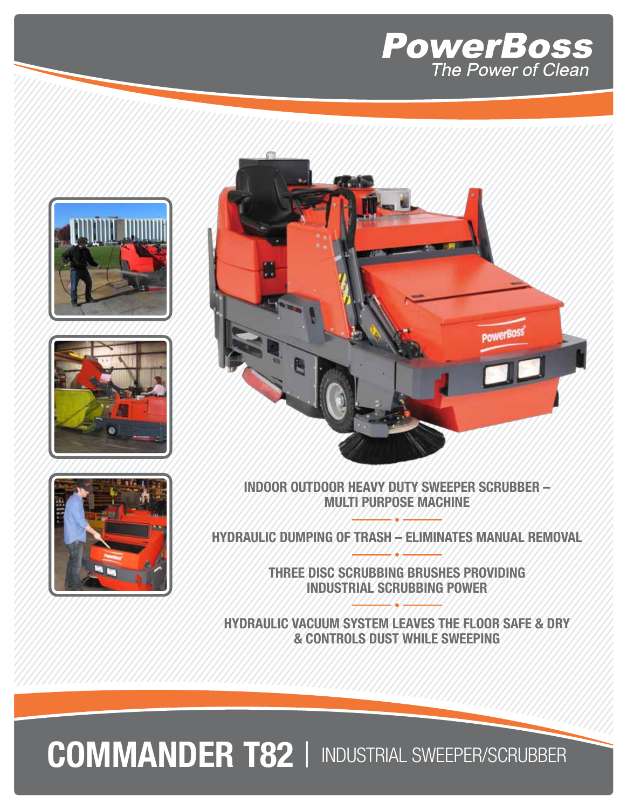









INDOOR OUTDOOR HEAVY DUTY SWEEPER SCRUBBER – MULTI PURPOSE MACHINE

HYDRAULIC DUMPING OF TRASH – ELIMINATES MANUAL REMOVAL

THREE DISC SCRUBBING BRUSHES PROVIDING INDUSTRIAL SCRUBBING POWER

HYDRAULIC VACUUM SYSTEM LEAVES THE FLOOR SAFE & DRY & CONTROLS DUST WHILE SWEEPING

COMMANDER T82 | INDUSTRIAL SWEEPER/SCRUBBER